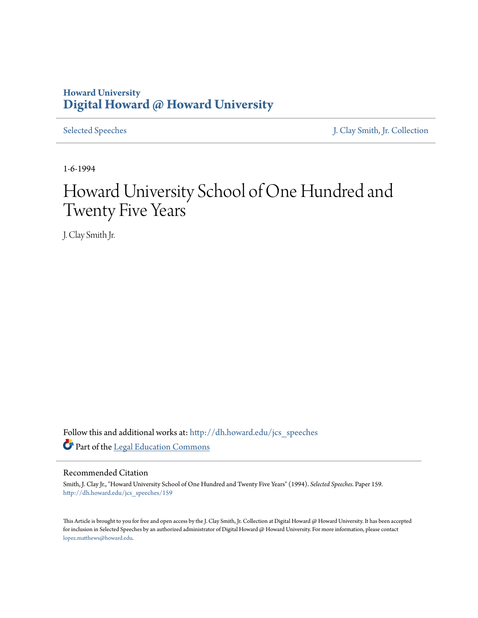## **Howard University [Digital Howard @ Howard University](http://dh.howard.edu?utm_source=dh.howard.edu%2Fjcs_speeches%2F159&utm_medium=PDF&utm_campaign=PDFCoverPages)**

[Selected Speeches](http://dh.howard.edu/jcs_speeches?utm_source=dh.howard.edu%2Fjcs_speeches%2F159&utm_medium=PDF&utm_campaign=PDFCoverPages) [J. Clay Smith, Jr. Collection](http://dh.howard.edu/jcsmith?utm_source=dh.howard.edu%2Fjcs_speeches%2F159&utm_medium=PDF&utm_campaign=PDFCoverPages)

1-6-1994

## Howard University School of One Hundred and Twenty Five Years

J. Clay Smith Jr.

Follow this and additional works at: [http://dh.howard.edu/jcs\\_speeches](http://dh.howard.edu/jcs_speeches?utm_source=dh.howard.edu%2Fjcs_speeches%2F159&utm_medium=PDF&utm_campaign=PDFCoverPages) Part of the [Legal Education Commons](http://network.bepress.com/hgg/discipline/857?utm_source=dh.howard.edu%2Fjcs_speeches%2F159&utm_medium=PDF&utm_campaign=PDFCoverPages)

## Recommended Citation

Smith, J. Clay Jr., "Howard University School of One Hundred and Twenty Five Years" (1994). *Selected Speeches.* Paper 159. [http://dh.howard.edu/jcs\\_speeches/159](http://dh.howard.edu/jcs_speeches/159?utm_source=dh.howard.edu%2Fjcs_speeches%2F159&utm_medium=PDF&utm_campaign=PDFCoverPages)

This Article is brought to you for free and open access by the J. Clay Smith, Jr. Collection at Digital Howard @ Howard University. It has been accepted for inclusion in Selected Speeches by an authorized administrator of Digital Howard @ Howard University. For more information, please contact [lopez.matthews@howard.edu.](mailto:lopez.matthews@howard.edu)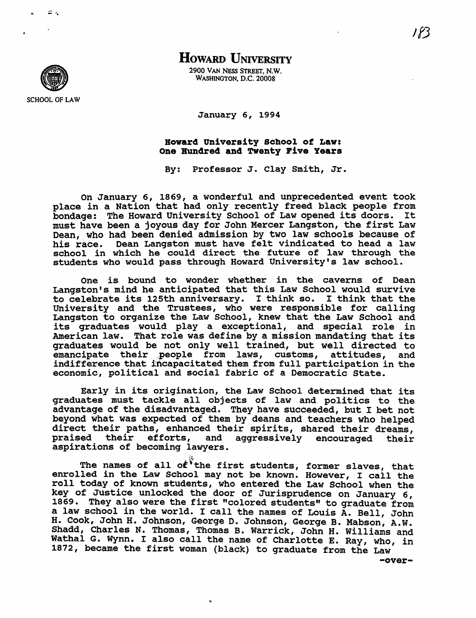

HOWARD UNIVERSITY

2900 VAN NESS STREET. N.W. WASHINGTON. D.C. 20008

January 6, 1994

## Howard University School of Law: One Hundred and Twenty Five Years

By: Professor J. clay Smith, Jr.

On January 6, 1869, a wonderful and unprecedented event took place in a Nation that had only recently freed black people from bondage: The Howard University School of Law opened its doors. It must have been a joyous day for John Mercer Langston, the first Law Dean, who had been denied admission by two law schools because of his race. Dean Langston must have felt vindicated to head a law school in which he could direct the future of law through the students who would pass through Howard University's law school.

One is bound to wonder whether in the caverns of Dean Langston's mind he anticipated that this Law School would survive to celebrate its 125th anniversary. I think so. I think that the University and the Trustees, who were responsible for calling Langston to organize the Law School, knew that the Law School and its graduates would play a exceptional, and special role in American law. That role was define by a mission mandating that its graduates would be not only well trained, but well directed to emancipate their people from laws, customs, attitudes. and emancipate their people from laws, customs, attitudes, indifference that incapacitated them from full participation in the economic, political and social fabric of a Democratic State.

Early in its origination, the Law School determined that its graduates must tackle all objects of law and politics to the advantage of the disadvantaged. They have succeeded, but I bet not beyond what was expected of them by deans and teachers who helped direct their paths, enhanced their spirits, shared their dreams,<br>praised their efforts, and aggressively encouraged their aggressively encouraged their aspirations of becoming lawyers.

The names of all of the first students, former slaves, that enrolled in the Law School may not be known. However, I call the roll today of known students, who entered the Law School when the key of Justice unlocked the door of Jurisprudence on January 6, 1869. They also were the first "colored students" to graduate from a law school in the world. I call the names of Louis A. Bell, John H. Cook, John H. Johnson, George D. Johnson, George B. Mabson, A.W. Shadd, Charles N. Thomas, Thomas B. Warrick, John H. Williams and Wathal G. Wynn. I also call the name of Charlotte E. Ray, who, in 1872, became the first woman (black) to graduate from the Law'